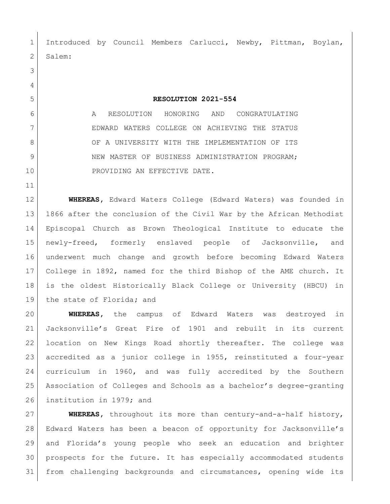Introduced by Council Members Carlucci, Newby, Pittman, Boylan, Salem:

## 

**RESOLUTION 2021-554**

 A RESOLUTION HONORING AND CONGRATULATING EDWARD WATERS COLLEGE ON ACHIEVING THE STATUS OF A UNIVERSITY WITH THE IMPLEMENTATION OF ITS 9 NEW MASTER OF BUSINESS ADMINISTRATION PROGRAM; 10 PROVIDING AN EFFECTIVE DATE.

 **WHEREAS,** Edward Waters College (Edward Waters) was founded in 1866 after the conclusion of the Civil War by the African Methodist Episcopal Church as Brown Theological Institute to educate the newly-freed, formerly enslaved people of Jacksonville, and underwent much change and growth before becoming Edward Waters College in 1892, named for the third Bishop of the AME church. It is the oldest Historically Black College or University (HBCU) in the state of Florida**;** and

 **WHEREAS,** the campus of Edward Waters was destroyed in Jacksonville's Great Fire of 1901 and rebuilt in its current location on New Kings Road shortly thereafter. The college was accredited as a junior college in 1955, reinstituted a four-year curriculum in 1960, and was fully accredited by the Southern Association of Colleges and Schools as a bachelor's degree-granting institution in 1979; and

 **WHEREAS,** throughout its more than century-and-a-half history, Edward Waters has been a beacon of opportunity for Jacksonville's and Florida's young people who seek an education and brighter prospects for the future. It has especially accommodated students from challenging backgrounds and circumstances, opening wide its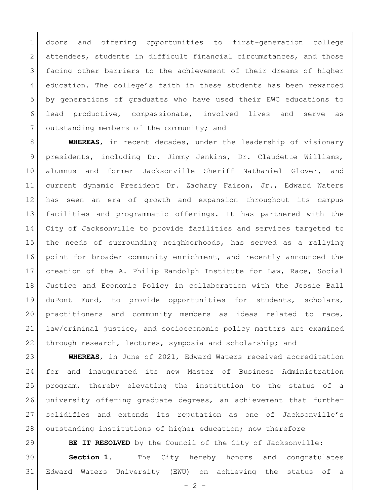doors and offering opportunities to first-generation college 2 attendees, students in difficult financial circumstances, and those facing other barriers to the achievement of their dreams of higher education. The college's faith in these students has been rewarded by generations of graduates who have used their EWC educations to lead productive, compassionate, involved lives and serve as 7 outstanding members of the community; and

 **WHEREAS**, in recent decades, under the leadership of visionary presidents, including Dr. Jimmy Jenkins, Dr. Claudette Williams, alumnus and former Jacksonville Sheriff Nathaniel Glover, and current dynamic President Dr. Zachary Faison, Jr., Edward Waters has seen an era of growth and expansion throughout its campus facilities and programmatic offerings. It has partnered with the City of Jacksonville to provide facilities and services targeted to the needs of surrounding neighborhoods, has served as a rallying 16 point for broader community enrichment, and recently announced the creation of the A. Philip Randolph Institute for Law, Race, Social Justice and Economic Policy in collaboration with the Jessie Ball duPont Fund, to provide opportunities for students, scholars, practitioners and community members as ideas related to race, law/criminal justice, and socioeconomic policy matters are examined through research, lectures, symposia and scholarship; and

 **WHEREAS**, in June of 2021, Edward Waters received accreditation for and inaugurated its new Master of Business Administration program, thereby elevating the institution to the status of a university offering graduate degrees, an achievement that further solidifies and extends its reputation as one of Jacksonville's 28 outstanding institutions of higher education; now therefore

**BE IT RESOLVED** by the Council of the City of Jacksonville: **Section 1.** The City hereby honors and congratulates Edward Waters University (EWU) on achieving the status of a

 $- 2 -$